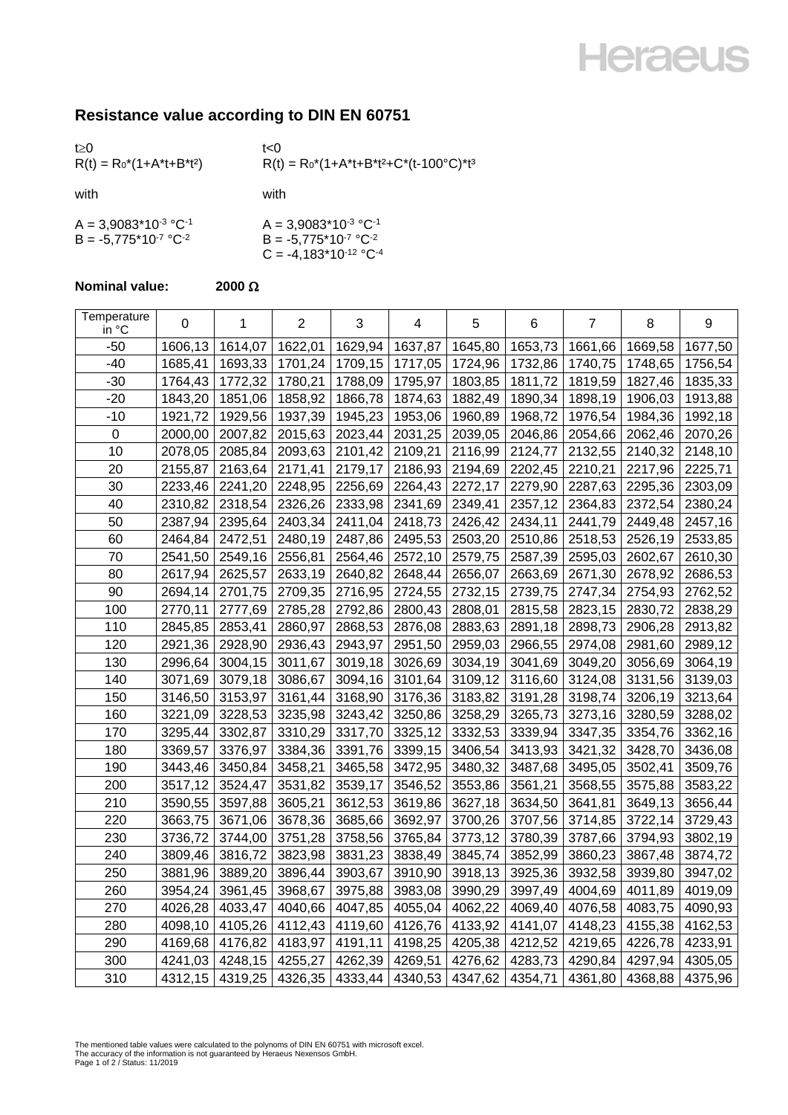## **Heraeus**

## **Resistance value according to DIN EN 60751**

| t > 0<br>$R(t) = R_0^*(1+A^*t+B^*t^2)$                 | t<0<br>$R(t) = R_0^*(1 + A^*t + B^*t^2 + C^*(t - 100^{\circ}C)^*t^3$              |
|--------------------------------------------------------|-----------------------------------------------------------------------------------|
| with                                                   | with                                                                              |
| $A = 3,9083*10-3 °C-1$<br>$B = -5.775*10^{-7} °C^{-2}$ | $A = 3,9083*10-3 °C-1$<br>$B = -5,775*10^{-7} °C^{-2}$<br>$C = -4,183*10-12 °C-4$ |

## **Nominal value:**  $2000 \Omega$

| Temperature<br>in °C | 0       | 1       | $\overline{2}$ | 3       | 4       | 5       | 6       | $\overline{7}$ | 8       | 9       |
|----------------------|---------|---------|----------------|---------|---------|---------|---------|----------------|---------|---------|
| -50                  | 1606,13 | 1614,07 | 1622,01        | 1629,94 | 1637,87 | 1645,80 | 1653,73 | 1661,66        | 1669,58 | 1677,50 |
| $-40$                | 1685,41 | 1693,33 | 1701,24        | 1709,15 | 1717,05 | 1724,96 | 1732,86 | 1740,75        | 1748,65 | 1756,54 |
| $-30$                | 1764,43 | 1772,32 | 1780,21        | 1788,09 | 1795,97 | 1803,85 | 1811,72 | 1819,59        | 1827,46 | 1835,33 |
| $-20$                | 1843,20 | 1851,06 | 1858,92        | 1866,78 | 1874,63 | 1882,49 | 1890,34 | 1898,19        | 1906,03 | 1913,88 |
| $-10$                | 1921,72 | 1929,56 | 1937,39        | 1945,23 | 1953,06 | 1960,89 | 1968,72 | 1976,54        | 1984,36 | 1992,18 |
| $\pmb{0}$            | 2000,00 | 2007,82 | 2015,63        | 2023,44 | 2031,25 | 2039,05 | 2046,86 | 2054,66        | 2062,46 | 2070,26 |
| 10                   | 2078,05 | 2085,84 | 2093,63        | 2101,42 | 2109,21 | 2116,99 | 2124,77 | 2132,55        | 2140,32 | 2148,10 |
| 20                   | 2155,87 | 2163,64 | 2171,41        | 2179,17 | 2186,93 | 2194,69 | 2202,45 | 2210,21        | 2217,96 | 2225,71 |
| 30                   | 2233,46 | 2241,20 | 2248,95        | 2256,69 | 2264,43 | 2272,17 | 2279,90 | 2287,63        | 2295,36 | 2303,09 |
| 40                   | 2310,82 | 2318,54 | 2326,26        | 2333,98 | 2341,69 | 2349,41 | 2357,12 | 2364,83        | 2372,54 | 2380,24 |
| 50                   | 2387,94 | 2395,64 | 2403,34        | 2411,04 | 2418,73 | 2426,42 | 2434,11 | 2441,79        | 2449,48 | 2457,16 |
| 60                   | 2464,84 | 2472,51 | 2480,19        | 2487,86 | 2495,53 | 2503,20 | 2510,86 | 2518,53        | 2526,19 | 2533,85 |
| 70                   | 2541,50 | 2549,16 | 2556,81        | 2564,46 | 2572,10 | 2579,75 | 2587,39 | 2595,03        | 2602,67 | 2610,30 |
| 80                   | 2617,94 | 2625,57 | 2633,19        | 2640,82 | 2648,44 | 2656,07 | 2663,69 | 2671,30        | 2678,92 | 2686,53 |
| 90                   | 2694,14 | 2701,75 | 2709,35        | 2716,95 | 2724,55 | 2732,15 | 2739,75 | 2747,34        | 2754,93 | 2762,52 |
| 100                  | 2770,11 | 2777,69 | 2785,28        | 2792,86 | 2800,43 | 2808,01 | 2815,58 | 2823,15        | 2830,72 | 2838,29 |
| 110                  | 2845,85 | 2853,41 | 2860,97        | 2868,53 | 2876,08 | 2883,63 | 2891,18 | 2898,73        | 2906,28 | 2913,82 |
| 120                  | 2921,36 | 2928,90 | 2936,43        | 2943,97 | 2951,50 | 2959,03 | 2966,55 | 2974,08        | 2981,60 | 2989,12 |
| 130                  | 2996,64 | 3004,15 | 3011,67        | 3019,18 | 3026,69 | 3034,19 | 3041,69 | 3049,20        | 3056,69 | 3064,19 |
| 140                  | 3071,69 | 3079,18 | 3086,67        | 3094,16 | 3101,64 | 3109,12 | 3116,60 | 3124,08        | 3131,56 | 3139,03 |
| 150                  | 3146,50 | 3153,97 | 3161,44        | 3168,90 | 3176,36 | 3183,82 | 3191,28 | 3198,74        | 3206,19 | 3213,64 |
| 160                  | 3221,09 | 3228,53 | 3235,98        | 3243,42 | 3250,86 | 3258,29 | 3265,73 | 3273,16        | 3280,59 | 3288,02 |
| 170                  | 3295,44 | 3302,87 | 3310,29        | 3317,70 | 3325,12 | 3332,53 | 3339,94 | 3347,35        | 3354,76 | 3362,16 |
| 180                  | 3369,57 | 3376,97 | 3384,36        | 3391,76 | 3399,15 | 3406,54 | 3413,93 | 3421,32        | 3428,70 | 3436,08 |
| 190                  | 3443,46 | 3450,84 | 3458,21        | 3465,58 | 3472,95 | 3480,32 | 3487,68 | 3495,05        | 3502,41 | 3509,76 |
| 200                  | 3517,12 | 3524,47 | 3531,82        | 3539,17 | 3546,52 | 3553,86 | 3561,21 | 3568,55        | 3575,88 | 3583,22 |
| 210                  | 3590,55 | 3597,88 | 3605,21        | 3612,53 | 3619,86 | 3627,18 | 3634,50 | 3641,81        | 3649,13 | 3656,44 |
| 220                  | 3663,75 | 3671,06 | 3678,36        | 3685,66 | 3692,97 | 3700,26 | 3707,56 | 3714,85        | 3722,14 | 3729,43 |
| 230                  | 3736,72 | 3744,00 | 3751,28        | 3758,56 | 3765,84 | 3773,12 | 3780,39 | 3787,66        | 3794,93 | 3802,19 |
| 240                  | 3809,46 | 3816,72 | 3823,98        | 3831,23 | 3838,49 | 3845,74 | 3852,99 | 3860,23        | 3867,48 | 3874,72 |
| 250                  | 3881,96 | 3889,20 | 3896,44        | 3903,67 | 3910,90 | 3918,13 | 3925,36 | 3932,58        | 3939,80 | 3947,02 |
| 260                  | 3954,24 | 3961,45 | 3968,67        | 3975,88 | 3983,08 | 3990,29 | 3997,49 | 4004,69        | 4011,89 | 4019,09 |
| 270                  | 4026,28 | 4033,47 | 4040,66        | 4047,85 | 4055,04 | 4062,22 | 4069,40 | 4076,58        | 4083,75 | 4090,93 |
| 280                  | 4098,10 | 4105,26 | 4112,43        | 4119,60 | 4126,76 | 4133,92 | 4141,07 | 4148,23        | 4155,38 | 4162,53 |
| 290                  | 4169,68 | 4176,82 | 4183,97        | 4191,11 | 4198,25 | 4205,38 | 4212,52 | 4219,65        | 4226,78 | 4233,91 |
| 300                  | 4241,03 | 4248,15 | 4255,27        | 4262,39 | 4269,51 | 4276,62 | 4283,73 | 4290,84        | 4297,94 | 4305,05 |
| 310                  | 4312,15 | 4319,25 | 4326,35        | 4333,44 | 4340,53 | 4347,62 | 4354,71 | 4361,80        | 4368,88 | 4375,96 |

The mentioned table values were calculated to the polynoms of DIN EN 60751 with microsoft excel.<br>The accuracy of the information is not guaranteed by Heraeus Nexensos GmbH.<br>Page 1 of 2 / Status: 11/2019